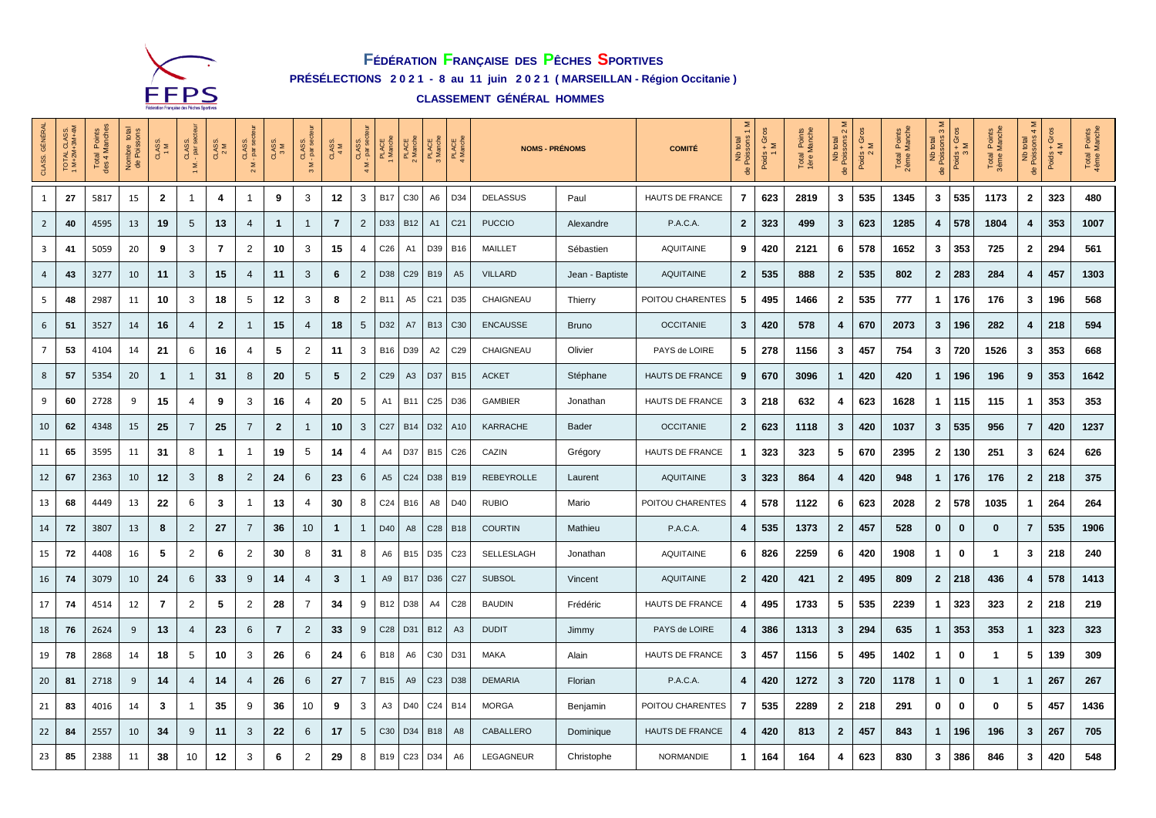

## **FÉDÉRATION FRANÇAISE DES PÊCHES SPORTIVES PRÉSÉLECTIONS 2 0 2 1 - 8 au 11 juin 2 0 2 1 ( MARSEILLAN - Région Occitanie )**

**CLASSEMENT GÉNÉRAL HOMMES** 

| <b>GÉNÉRAL</b><br>CLASS. | TOTAL CLASS.<br>1 M+2M+3M+4M | Total Points<br>des 4 Manches | total<br>Nombre<br>de Poiss | CLASS.<br>1 M  | CLASS.<br>- par se<br>Σ | CLASS.<br>2 M | CLASS.<br>- par sec | CLASS.<br>3 M  | CLASS.<br>- par ser | CLASS.       | CLASS.<br>- par se<br>$\frac{5}{4}$ | PLACE<br>I Manche | PLACE<br>2 Manche | PLACE<br>3 Manche | PLACE<br>4 Manche | <b>NOMS - PRÉNOMS</b> | <b>COMITÉ</b>   | Σ<br>$\leftarrow$<br>Nb total<br>Poissons<br>용 | $\frac{\text{Poids} + \text{Gros}}{1 \text{ M}}$ | I Points<br>Manche<br>Total<br>1ère M | Σ<br>$\sim$<br>total<br>Nb<br>de Poiss | $+$ Gros<br>Poids +<br>$21$ | Total Points<br>2ème Manche | $\infty$<br>Nb total<br>de Poissons : | Poids + Gros<br>3 M | Points<br>Manche<br>Total<br>3ème M | Σ<br>$\overline{4}$<br>Nb total<br>de Poissons | $+$ Gros<br>Poids $+$ | Total Points<br>4ème Manche |      |
|--------------------------|------------------------------|-------------------------------|-----------------------------|----------------|-------------------------|---------------|---------------------|----------------|---------------------|--------------|-------------------------------------|-------------------|-------------------|-------------------|-------------------|-----------------------|-----------------|------------------------------------------------|--------------------------------------------------|---------------------------------------|----------------------------------------|-----------------------------|-----------------------------|---------------------------------------|---------------------|-------------------------------------|------------------------------------------------|-----------------------|-----------------------------|------|
| $\mathbf{1}$             | 27                           | 5817                          | 15                          | $\overline{2}$ | 1                       | 4             | 1                   | 9              | 3                   | 12           | 3                                   | <b>B17</b>        | C <sub>30</sub>   | A <sub>6</sub>    | D34               | <b>DELASSUS</b>       | Paul            | HAUTS DE FRANCE                                | 7                                                | 623                                   | 2819                                   | 3                           | 535                         | 1345                                  | 3                   | 535                                 | 1173                                           | $\overline{2}$        | 323                         | 480  |
| $\overline{2}$           | 40                           | 4595                          | 13                          | 19             | 5                       | 13            | 4                   | $\mathbf 1$    | 1                   | 7            | $\overline{2}$                      | D33               | <b>B12</b>        | A <sub>1</sub>    | C <sub>21</sub>   | <b>PUCCIO</b>         | Alexandre       | P.A.C.A.                                       | $\mathbf{2}$                                     | 323                                   | 499                                    | 3                           | 623                         | 1285                                  | 4                   | 578                                 | 1804                                           | $\overline{4}$        | 353                         | 1007 |
| 3                        | 41                           | 5059                          | 20                          | 9              | 3                       | 7             | 2                   | 10             | 3                   | 15           | 4                                   | C <sub>26</sub>   | A1                | D39               | <b>B16</b>        | MAILLET               | Sébastien       | <b>AQUITAINE</b>                               | 9                                                | 420                                   | 2121                                   | 6                           | 578                         | 1652                                  | 3                   | 353                                 | 725                                            | $\mathbf{2}$          | 294                         | 561  |
| 4                        | 43                           | 3277                          | 10                          | 11             | 3                       | 15            | 4                   | 11             | 3                   | 6            | $\overline{2}$                      | D38               | C <sub>29</sub>   | <b>B19</b>        | A <sub>5</sub>    | <b>VILLARD</b>        | Jean - Baptiste | <b>AQUITAINE</b>                               | $\overline{2}$                                   | 535                                   | 888                                    | $\mathbf{2}$                | 535                         | 802                                   | $\overline{2}$      | 283                                 | 284                                            | 4                     | 457                         | 1303 |
| 5                        | 48                           | 2987                          | 11                          | 10             | 3                       | 18            | 5                   | 12             | 3                   | 8            | $\overline{2}$                      | <b>B11</b>        | A5                | C <sub>21</sub>   | D35               | CHAIGNEAU             | Thierry         | POITOU CHARENTES                               | 5                                                | 495                                   | 1466                                   | $\mathbf{2}$                | 535                         | 777                                   | 1                   | 176                                 | 176                                            | 3                     | 196                         | 568  |
| 6                        | 51                           | 3527                          | 14                          | 16             | 4                       | $\mathbf{2}$  | $\mathbf{1}$        | 15             | 4                   | 18           | $5\phantom{.0}$                     | D32               | A7                | <b>B13</b>        | C <sub>30</sub>   | <b>ENCAUSSE</b>       | <b>Bruno</b>    | <b>OCCITANIE</b>                               | 3                                                | 420                                   | 578                                    | 4                           | 670                         | 2073                                  | $\mathbf{3}$        | 196                                 | 282                                            | 4                     | 218                         | 594  |
| $7\overline{ }$          | 53                           | 4104                          | 14                          | 21             | 6                       | 16            | 4                   | 5              | 2                   | 11           | 3                                   | <b>B16</b>        | D39               | A <sub>2</sub>    | C <sub>29</sub>   | CHAIGNEAU             | Olivier         | PAYS de LOIRE                                  | 5                                                | 278                                   | 1156                                   | 3                           | 457                         | 754                                   | 3                   | 720                                 | 1526                                           | $\mathbf{3}$          | 353                         | 668  |
| 8                        | 57                           | 5354                          | 20                          | 1              | 1                       | 31            | 8                   | 20             | 5                   | 5            | $\overline{2}$                      | C <sub>29</sub>   | A3                | D37               | <b>B15</b>        | <b>ACKET</b>          | Stéphane        | HAUTS DE FRANCE                                | 9                                                | 670                                   | 3096                                   | $\mathbf{1}$                | 420                         | 420                                   | 1                   | 196                                 | 196                                            | 9                     | 353                         | 1642 |
| 9                        | 60                           | 2728                          | 9                           | 15             | 4                       | 9             | 3                   | 16             | 4                   | 20           | 5                                   | A <sub>1</sub>    | <b>B11</b>        | C <sub>25</sub>   | D36               | <b>GAMBIER</b>        | Jonathan        | HAUTS DE FRANCE                                | 3                                                | 218                                   | 632                                    | 4                           | 623                         | 1628                                  | $\mathbf{1}$        | 115                                 | 115                                            | $\mathbf{1}$          | 353                         | 353  |
| 10                       | 62                           | 4348                          | 15                          | 25             | $\overline{7}$          | 25            | $\overline{7}$      | $\mathbf{2}$   |                     | 10           | 3                                   | C <sub>27</sub>   | <b>B14</b>        | D32               | A10               | KARRACHE              | Bader           | <b>OCCITANIE</b>                               | $\mathbf{2}$                                     | 623                                   | 1118                                   | 3                           | 420                         | 1037                                  | 3                   | 535                                 | 956                                            | $\overline{7}$        | 420                         | 1237 |
| 11                       | 65                           | 3595                          | 11                          | 31             | 8                       | $\mathbf 1$   | -1                  | 19             | 5                   | 14           | 4                                   | A4                | D37               | <b>B15</b>        | C <sub>26</sub>   | CAZIN                 | Grégory         | HAUTS DE FRANCE                                | $\mathbf{1}$                                     | 323                                   | 323                                    | 5                           | 670                         | 2395                                  | $\overline{2}$      | 130                                 | 251                                            | 3                     | 624                         | 626  |
| 12                       | 67                           | 2363                          | 10                          | 12             | 3                       | 8             | $\overline{2}$      | 24             | 6                   | 23           | 6                                   | A <sub>5</sub>    | C <sub>24</sub>   | D38               | <b>B19</b>        | <b>REBEYROLLE</b>     | Laurent         | <b>AQUITAINE</b>                               | 3                                                | 323                                   | 864                                    | 4                           | 420                         | 948                                   | $\mathbf{1}$        | 176                                 | 176                                            | $\mathbf{2}$          | 218                         | 375  |
| 13                       | 68                           | 4449                          | 13                          | 22             | 6                       | 3             | 1                   | 13             | 4                   | 30           | 8                                   | C <sub>24</sub>   | <b>B16</b>        | A8                | D40               | <b>RUBIO</b>          | Mario           | POITOU CHARENTES                               | 4                                                | 578                                   | 1122                                   | 6                           | 623                         | 2028                                  | $\overline{2}$      | 578                                 | 1035                                           | $\mathbf 1$           | 264                         | 264  |
| 14                       | 72                           | 3807                          | 13                          | 8              | 2                       | 27            | $\overline{7}$      | 36             | 10                  | $\mathbf{1}$ | $\mathbf{1}$                        | D40               | A <sub>8</sub>    | C28               | <b>B18</b>        | <b>COURTIN</b>        | Mathieu         | P.A.C.A.                                       | 4                                                | 535                                   | 1373                                   | $\overline{2}$              | 457                         | 528                                   | $\mathbf 0$         | $\mathbf 0$                         | 0                                              | $\overline{7}$        | 535                         | 1906 |
| 15                       | 72                           | 4408                          | 16                          | 5              | 2                       | 6             | 2                   | 30             | 8                   | 31           | 8                                   | A <sub>6</sub>    | <b>B15</b>        | D35               | C <sub>23</sub>   | SELLESLAGH            | Jonathan        | <b>AQUITAINE</b>                               | 6                                                | 826                                   | 2259                                   | 6                           | 420                         | 1908                                  | $\mathbf{1}$        | 0                                   | -1                                             | 3                     | 218                         | 240  |
| 16                       | 74                           | 3079                          | 10                          | 24             | 6                       | 33            | 9                   | 14             | 4                   | 3            | 1                                   | A <sub>9</sub>    | <b>B17</b>        | D36               | C <sub>27</sub>   | <b>SUBSOL</b>         | Vincent         | <b>AQUITAINE</b>                               | $\mathbf{2}$                                     | 420                                   | 421                                    | $\mathbf{2}$                | 495                         | 809                                   | $\overline{2}$      | 218                                 | 436                                            | 4                     | 578                         | 1413 |
| 17                       | 74                           | 4514                          | 12                          | $\overline{7}$ | 2                       | 5             | 2                   | 28             | 7                   | 34           | 9                                   | <b>B12</b>        | D38               | A4                | C <sub>28</sub>   | <b>BAUDIN</b>         | Frédéric        | HAUTS DE FRANCE                                | 4                                                | 495                                   | 1733                                   | 5                           | 535                         | 2239                                  | $\mathbf{1}$        | 323                                 | 323                                            | $\overline{2}$        | 218                         | 219  |
| 18                       | 76                           | 2624                          | 9                           | 13             | 4                       | 23            | 6                   | $\overline{7}$ | $\overline{2}$      | 33           | 9                                   | C <sub>28</sub>   | D31               | <b>B12</b>        | A <sub>3</sub>    | <b>DUDIT</b>          | Jimmy           | PAYS de LOIRE                                  | 4                                                | 386                                   | 1313                                   | 3                           | 294                         | 635                                   | $\mathbf{1}$        | 353                                 | 353                                            | $\mathbf{1}$          | 323                         | 323  |
| 19                       | 78                           | 2868                          | 14                          | 18             | 5                       | 10            | 3                   | 26             | 6                   | 24           | 6                                   | <b>B18</b>        | A <sub>6</sub>    | C30               | D31               | <b>MAKA</b>           | Alain           | HAUTS DE FRANCE                                | 3                                                | 457                                   | 1156                                   | 5                           | 495                         | 1402                                  | 1                   | 0                                   | -1                                             | 5                     | 139                         | 309  |
| 20                       | 81                           | 2718                          | 9                           | 14             | 4                       | 14            | 4                   | 26             | 6                   | 27           | $\overline{7}$                      | <b>B15</b>        | A9                | C <sub>23</sub>   | D38               | <b>DEMARIA</b>        | Florian         | P.A.C.A.                                       | 4                                                | 420                                   | 1272                                   | 3                           | 720                         | 1178                                  | 1                   | $\mathbf 0$                         | 1                                              | $\mathbf{1}$          | 267                         | 267  |
| 21                       | 83                           | 4016                          | 14                          | 3              | 1                       | 35            | 9                   | 36             | 10                  | 9            | 3                                   | A <sub>3</sub>    | D40               | C <sub>24</sub>   | <b>B14</b>        | <b>MORGA</b>          | Benjamin        | POITOU CHARENTES                               | $\overline{7}$                                   | 535                                   | 2289                                   | $\mathbf{2}$                | 218                         | 291                                   | 0                   | 0                                   | 0                                              | 5                     | 457                         | 1436 |
| 22                       | 84                           | 2557                          | 10                          | 34             | 9                       | 11            | 3                   | 22             | 6                   | 17           | $\sqrt{5}$                          | C30               | D34               | <b>B18</b>        | A <sub>8</sub>    | CABALLERO             | Dominique       | HAUTS DE FRANCE                                | $\overline{\mathbf{4}}$                          | 420                                   | 813                                    | $\mathbf{2}$                | 457                         | 843                                   | $\mathbf 1$         | 196                                 | 196                                            | $\mathbf{3}$          | 267                         | 705  |
| 23                       | 85                           | 2388                          | 11                          | 38             | 10                      | 12            | 3                   | 6              | 2                   | 29           | 8                                   | <b>B19</b>        | C <sub>23</sub>   | D34               | A <sub>6</sub>    | LEGAGNEUR             | Christophe      | <b>NORMANDIE</b>                               | $\mathbf 1$                                      | 164                                   | 164                                    | 4                           | 623                         | 830                                   | 3                   | 386                                 | 846                                            | 3                     | 420                         | 548  |